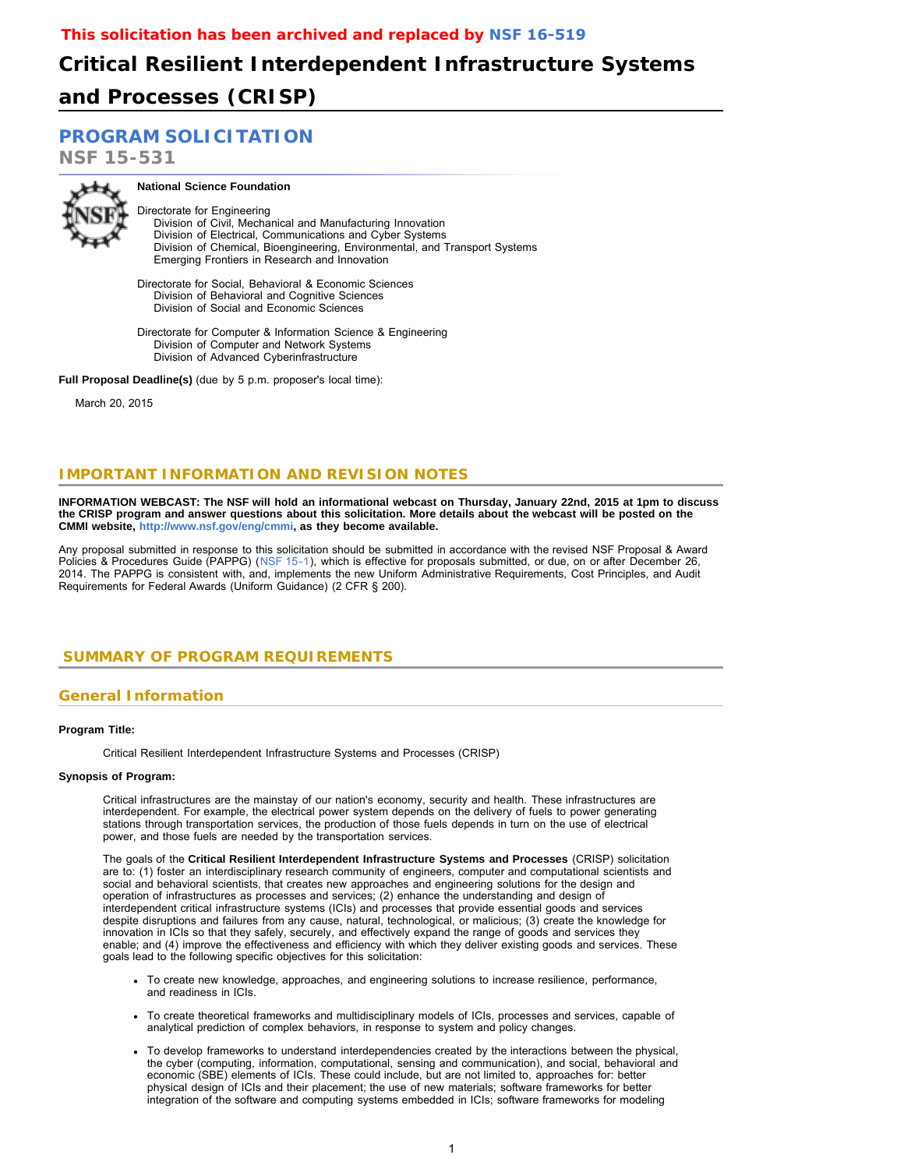# **Critical Resilient Interdependent Infrastructure Systems and Processes (CRISP)**

## **[PROGRAM SOLICITATION](#page-2-0)**

**NSF 15-531**



# **National Science Foundation**

Directorate for Engineering Division of Civil, Mechanical and Manufacturing Innovation Division of Electrical, Communications and Cyber Systems

 Division of Chemical, Bioengineering, Environmental, and Transport Systems Emerging Frontiers in Research and Innovation

Directorate for Social, Behavioral & Economic Sciences Division of Behavioral and Cognitive Sciences Division of Social and Economic Sciences

Directorate for Computer & Information Science & Engineering Division of Computer and Network Systems Division of Advanced Cyberinfrastructure

**Full Proposal Deadline(s)** (due by 5 p.m. proposer's local time):

March 20, 2015

### **IMPORTANT INFORMATION AND REVISION NOTES**

**INFORMATION WEBCAST: The NSF will hold an informational webcast on Thursday, January 22nd, 2015 at 1pm to discuss the CRISP program and answer questions about this solicitation. More details about the webcast will be posted on the CMMI website, [http://www.nsf.gov/eng/cmmi,](http://www.nsf.gov/eng/cmmi) as they become available.**

Any proposal submitted in response to this solicitation should be submitted in accordance with the revised NSF Proposal & Award Policies & Procedures Guide (PAPPG) ([NSF 15-1](http://www.nsf.gov/publications/pub_summ.jsp?ods_key=nsf15001)), which is effective for proposals submitted, or due, on or after December 26, 2014. The PAPPG is consistent with, and, implements the new Uniform Administrative Requirements, Cost Principles, and Audit Requirements for Federal Awards (Uniform Guidance) (2 CFR § 200).

### <span id="page-0-0"></span> **SUMMARY OF PROGRAM REQUIREMENTS**

### **General Information**

#### **Program Title:**

Critical Resilient Interdependent Infrastructure Systems and Processes (CRISP)

#### **Synopsis of Program:**

Critical infrastructures are the mainstay of our nation's economy, security and health. These infrastructures are interdependent. For example, the electrical power system depends on the delivery of fuels to power generating stations through transportation services, the production of those fuels depends in turn on the use of electrical power, and those fuels are needed by the transportation services.

The goals of the **Critical Resilient Interdependent Infrastructure Systems and Processes** (CRISP) solicitation are to: (1) foster an interdisciplinary research community of engineers, computer and computational scientists and social and behavioral scientists, that creates new approaches and engineering solutions for the design and operation of infrastructures as processes and services; (2) enhance the understanding and design of interdependent critical infrastructure systems (ICIs) and processes that provide essential goods and services despite disruptions and failures from any cause, natural, technological, or malicious; (3) create the knowledge for innovation in ICIs so that they safely, securely, and effectively expand the range of goods and services they enable; and (4) improve the effectiveness and efficiency with which they deliver existing goods and services. These goals lead to the following specific objectives for this solicitation:

- To create new knowledge, approaches, and engineering solutions to increase resilience, performance, and readiness in ICIs.
- To create theoretical frameworks and multidisciplinary models of ICIs, processes and services, capable of analytical prediction of complex behaviors, in response to system and policy changes.
- To develop frameworks to understand interdependencies created by the interactions between the physical, the cyber (computing, information, computational, sensing and communication), and social, behavioral and economic (SBE) elements of ICIs. These could include, but are not limited to, approaches for: better physical design of ICIs and their placement; the use of new materials; software frameworks for better integration of the software and computing systems embedded in ICIs; software frameworks for modeling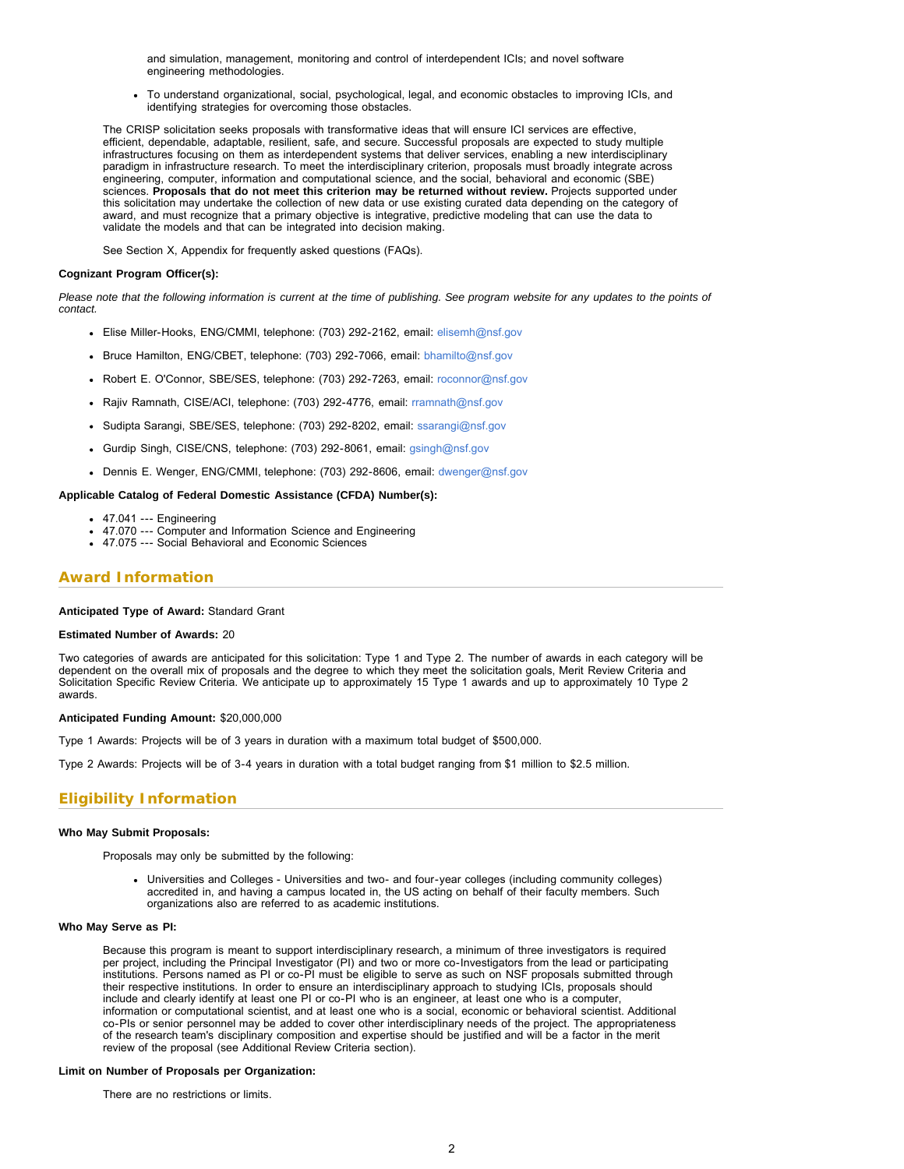and simulation, management, monitoring and control of interdependent ICIs; and novel software engineering methodologies.

To understand organizational, social, psychological, legal, and economic obstacles to improving ICIs, and identifying strategies for overcoming those obstacles.

The CRISP solicitation seeks proposals with transformative ideas that will ensure ICI services are effective, efficient, dependable, adaptable, resilient, safe, and secure. Successful proposals are expected to study multiple infrastructures focusing on them as interdependent systems that deliver services, enabling a new interdisciplinary paradigm in infrastructure research. To meet the interdisciplinary criterion, proposals must broadly integrate across engineering, computer, information and computational science, and the social, behavioral and economic (SBE) sciences. **Proposals that do not meet this criterion may be returned without review.** Projects supported under this solicitation may undertake the collection of new data or use existing curated data depending on the category of award, and must recognize that a primary objective is integrative, predictive modeling that can use the data to validate the models and that can be integrated into decision making.

See Section X, Appendix for frequently asked questions (FAQs).

#### **Cognizant Program Officer(s):**

*Please note that the following information is current at the time of publishing. See program website for any updates to the points of contact.*

- Elise Miller-Hooks, ENG/CMMI, telephone: (703) 292-2162, email: [elisemh@nsf.gov](mailto:elisemh@nsf.gov)
- Bruce Hamilton, ENG/CBET, telephone: (703) 292-7066, email: [bhamilto@nsf.gov](mailto:bhamilto@nsf.gov)
- Robert E. O'Connor, SBE/SES, telephone: (703) 292-7263, email: [roconnor@nsf.gov](mailto:roconnor@nsf.gov)
- Rajiv Ramnath, CISE/ACI, telephone: (703) 292-4776, email: [rramnath@nsf.gov](mailto:rramnath@nsf.gov)
- Sudipta Sarangi, SBE/SES, telephone: (703) 292-8202, email: [ssarangi@nsf.gov](mailto:ssarangi@nsf.gov)
- Gurdip Singh, CISE/CNS, telephone: (703) 292-8061, email: [gsingh@nsf.gov](mailto:gsingh@nsf.gov)
- Dennis E. Wenger, ENG/CMMI, telephone: (703) 292-8606, email: [dwenger@nsf.gov](mailto:dwenger@nsf.gov)

#### **Applicable Catalog of Federal Domestic Assistance (CFDA) Number(s):**

- 47.041 --- Engineering
- 47.070 --- Computer and Information Science and Engineering
- 47.075 --- Social Behavioral and Economic Sciences

### **Award Information**

#### **Anticipated Type of Award:** Standard Grant

#### **Estimated Number of Awards:** 20

Two categories of awards are anticipated for this solicitation: Type 1 and Type 2. The number of awards in each category will be dependent on the overall mix of proposals and the degree to which they meet the solicitation goals, Merit Review Criteria and Solicitation Specific Review Criteria. We anticipate up to approximately 15 Type 1 awards and up to approximately 10 Type 2 awards.

#### **Anticipated Funding Amount:** \$20,000,000

Type 1 Awards: Projects will be of 3 years in duration with a maximum total budget of \$500,000.

Type 2 Awards: Projects will be of 3-4 years in duration with a total budget ranging from \$1 million to \$2.5 million.

### **Eligibility Information**

#### **Who May Submit Proposals:**

Proposals may only be submitted by the following:

Universities and Colleges - Universities and two- and four-year colleges (including community colleges) accredited in, and having a campus located in, the US acting on behalf of their faculty members. Such organizations also are referred to as academic institutions.

#### **Who May Serve as PI:**

Because this program is meant to support interdisciplinary research, a minimum of three investigators is required per project, including the Principal Investigator (PI) and two or more co-Investigators from the lead or participating institutions. Persons named as PI or co-PI must be eligible to serve as such on NSF proposals submitted through their respective institutions. In order to ensure an interdisciplinary approach to studying ICIs, proposals should include and clearly identify at least one PI or co-PI who is an engineer, at least one who is a computer, information or computational scientist, and at least one who is a social, economic or behavioral scientist. Additional co-PIs or senior personnel may be added to cover other interdisciplinary needs of the project. The appropriateness of the research team's disciplinary composition and expertise should be justified and will be a factor in the merit review of the proposal (see Additional Review Criteria section).

#### **Limit on Number of Proposals per Organization:**

There are no restrictions or limits.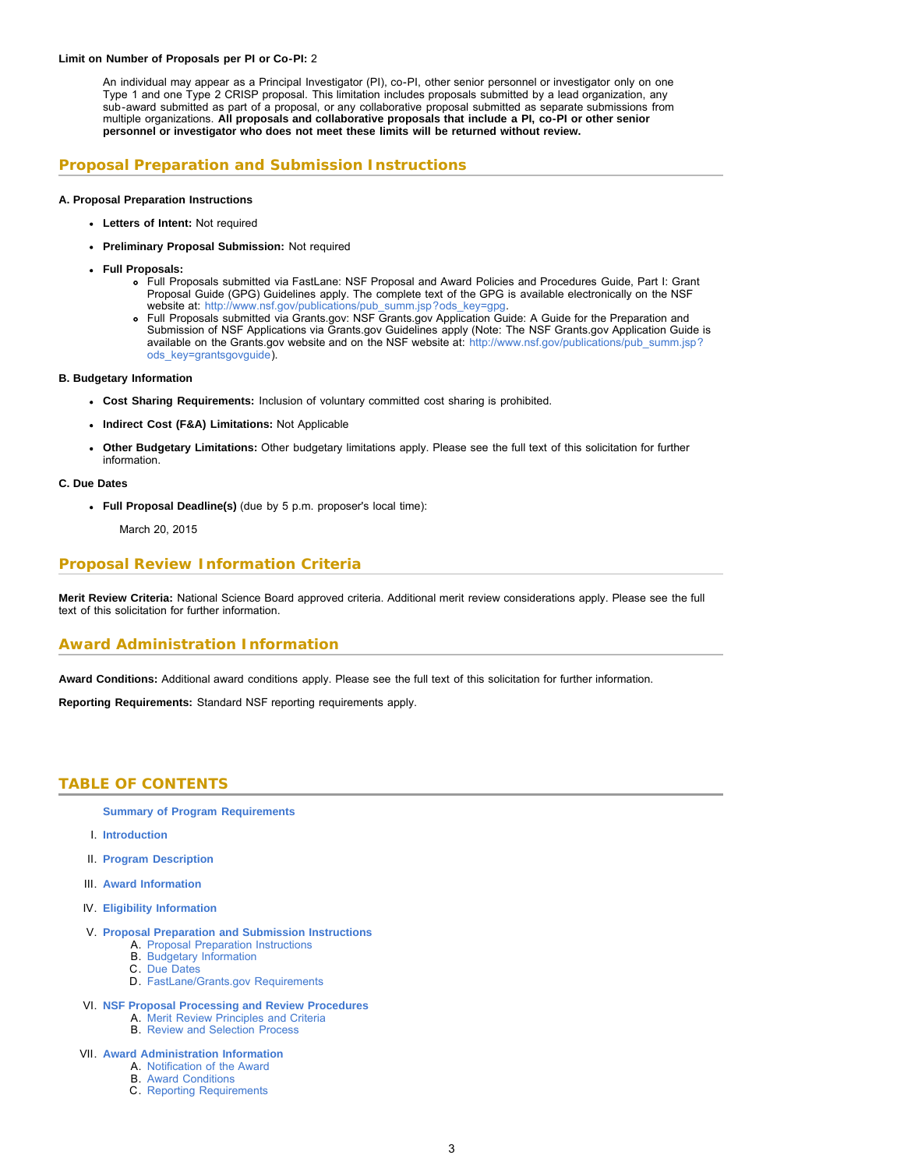#### **Limit on Number of Proposals per PI or Co-PI:** 2

An individual may appear as a Principal Investigator (PI), co-PI, other senior personnel or investigator only on one Type 1 and one Type 2 CRISP proposal. This limitation includes proposals submitted by a lead organization, any sub-award submitted as part of a proposal, or any collaborative proposal submitted as separate submissions from multiple organizations. **All proposals and collaborative proposals that include a PI, co-PI or other senior personnel or investigator who does not meet these limits will be returned without review.**

### **Proposal Preparation and Submission Instructions**

#### **A. Proposal Preparation Instructions**

- **Letters of Intent:** Not required
- **Preliminary Proposal Submission:** Not required
- **Full Proposals:**
	- Full Proposals submitted via FastLane: NSF Proposal and Award Policies and Procedures Guide, Part I: Grant Proposal Guide (GPG) Guidelines apply. The complete text of the GPG is available electronically on the NSF website at: [http://www.nsf.gov/publications/pub\\_summ.jsp?ods\\_key=gpg.](http://www.nsf.gov/publications/pub_summ.jsp?ods_key=gpg)
	- Full Proposals submitted via Grants.gov: NSF Grants.gov Application Guide: A Guide for the Preparation and Submission of NSF Applications via Grants.gov Guidelines apply (Note: The NSF Grants.gov Application Guide is available on the Grants.gov website and on the NSF website at: [http://www.nsf.gov/publications/pub\\_summ.jsp?](http://www.nsf.gov/publications/pub_summ.jsp?ods_key=grantsgovguide) [ods\\_key=grantsgovguide\)](http://www.nsf.gov/publications/pub_summ.jsp?ods_key=grantsgovguide).

#### **B. Budgetary Information**

- **Cost Sharing Requirements:** Inclusion of voluntary committed cost sharing is prohibited.
- **Indirect Cost (F&A) Limitations:** Not Applicable
- **Other Budgetary Limitations:** Other budgetary limitations apply. Please see the full text of this solicitation for further information.

#### **C. Due Dates**

**Full Proposal Deadline(s)** (due by 5 p.m. proposer's local time):

March 20, 2015

### **Proposal Review Information Criteria**

**Merit Review Criteria:** National Science Board approved criteria. Additional merit review considerations apply. Please see the full text of this solicitation for further information.

### **Award Administration Information**

**Award Conditions:** Additional award conditions apply. Please see the full text of this solicitation for further information.

<span id="page-2-0"></span>**Reporting Requirements:** Standard NSF reporting requirements apply.

### **TABLE OF CONTENTS**

**[Summary of Program Requirements](#page-0-0)**

- I. **[Introduction](#page-3-0)**
- II. **[Program Description](#page-3-1)**
- III. **[Award Information](#page-4-0)**
- IV. **[Eligibility Information](#page-4-1)**
- V. **[Proposal Preparation and Submission Instructions](#page-5-0)**
	- A. [Proposal Preparation Instructions](#page-5-0)
	- B. [Budgetary Information](#page-6-0)
	- C. [Due Dates](#page-6-1)
	- D. [FastLane/Grants.gov Requirements](#page-6-2)
- VI. **[NSF Proposal Processing and Review Procedures](#page-6-3)**
	- A. [Merit Review Principles and Criteria](#page-7-0)
	- B. [Review and Selection Process](#page-8-0)
- VII. **[Award Administration Information](#page-8-1)**
	- A. [Notification of the Award](#page-8-2)
	- B. [Award Conditions](#page-9-0)
	- C. [Reporting Requirements](#page-9-1)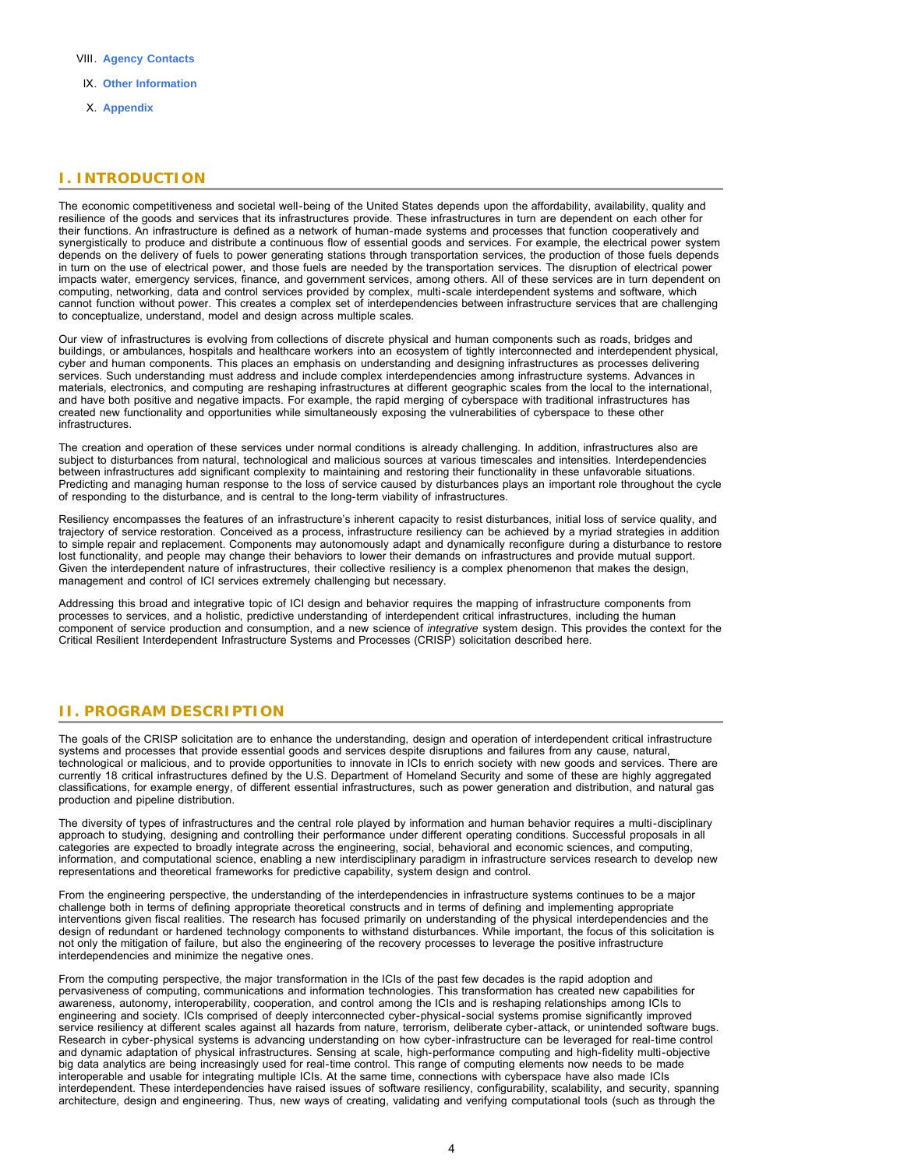- VIII. **[Agency Contacts](#page-9-2)**
- IX. **[Other Information](#page-10-0)**
- X. **[Appendix](#page-11-0)**

### <span id="page-3-0"></span>**I. INTRODUCTION**

The economic competitiveness and societal well-being of the United States depends upon the affordability, availability, quality and resilience of the goods and services that its infrastructures provide. These infrastructures in turn are dependent on each other for their functions. An infrastructure is defined as a network of human-made systems and processes that function cooperatively and synergistically to produce and distribute a continuous flow of essential goods and services. For example, the electrical power system depends on the delivery of fuels to power generating stations through transportation services, the production of those fuels depends in turn on the use of electrical power, and those fuels are needed by the transportation services. The disruption of electrical power impacts water, emergency services, finance, and government services, among others. All of these services are in turn dependent on computing, networking, data and control services provided by complex, multi-scale interdependent systems and software, which cannot function without power. This creates a complex set of interdependencies between infrastructure services that are challenging to conceptualize, understand, model and design across multiple scales.

Our view of infrastructures is evolving from collections of discrete physical and human components such as roads, bridges and buildings, or ambulances, hospitals and healthcare workers into an ecosystem of tightly interconnected and interdependent physical, cyber and human components. This places an emphasis on understanding and designing infrastructures as processes delivering services. Such understanding must address and include complex interdependencies among infrastructure systems. Advances in materials, electronics, and computing are reshaping infrastructures at different geographic scales from the local to the international, and have both positive and negative impacts. For example, the rapid merging of cyberspace with traditional infrastructures has created new functionality and opportunities while simultaneously exposing the vulnerabilities of cyberspace to these other infrastructures.

The creation and operation of these services under normal conditions is already challenging. In addition, infrastructures also are subject to disturbances from natural, technological and malicious sources at various timescales and intensities. Interdependencies between infrastructures add significant complexity to maintaining and restoring their functionality in these unfavorable situations. Predicting and managing human response to the loss of service caused by disturbances plays an important role throughout the cycle of responding to the disturbance, and is central to the long-term viability of infrastructures.

Resiliency encompasses the features of an infrastructure's inherent capacity to resist disturbances, initial loss of service quality, and trajectory of service restoration. Conceived as a process, infrastructure resiliency can be achieved by a myriad strategies in addition to simple repair and replacement. Components may autonomously adapt and dynamically reconfigure during a disturbance to restore lost functionality, and people may change their behaviors to lower their demands on infrastructures and provide mutual support. Given the interdependent nature of infrastructures, their collective resiliency is a complex phenomenon that makes the design, management and control of ICI services extremely challenging but necessary.

Addressing this broad and integrative topic of ICI design and behavior requires the mapping of infrastructure components from processes to services, and a holistic, predictive understanding of interdependent critical infrastructures, including the human component of service production and consumption, and a new science of *integrative* system design. This provides the context for the Critical Resilient Interdependent Infrastructure Systems and Processes (CRISP) solicitation described here.

### <span id="page-3-1"></span>**II. PROGRAM DESCRIPTION**

The goals of the CRISP solicitation are to enhance the understanding, design and operation of interdependent critical infrastructure systems and processes that provide essential goods and services despite disruptions and failures from any cause, natural, technological or malicious, and to provide opportunities to innovate in ICIs to enrich society with new goods and services. There are currently 18 critical infrastructures defined by the U.S. Department of Homeland Security and some of these are highly aggregated classifications, for example energy, of different essential infrastructures, such as power generation and distribution, and natural gas production and pipeline distribution.

The diversity of types of infrastructures and the central role played by information and human behavior requires a multi-disciplinary approach to studying, designing and controlling their performance under different operating conditions. Successful proposals in all categories are expected to broadly integrate across the engineering, social, behavioral and economic sciences, and computing, information, and computational science, enabling a new interdisciplinary paradigm in infrastructure services research to develop new representations and theoretical frameworks for predictive capability, system design and control.

From the engineering perspective, the understanding of the interdependencies in infrastructure systems continues to be a major challenge both in terms of defining appropriate theoretical constructs and in terms of defining and implementing appropriate interventions given fiscal realities. The research has focused primarily on understanding of the physical interdependencies and the design of redundant or hardened technology components to withstand disturbances. While important, the focus of this solicitation is not only the mitigation of failure, but also the engineering of the recovery processes to leverage the positive infrastructure interdependencies and minimize the negative ones.

From the computing perspective, the major transformation in the ICIs of the past few decades is the rapid adoption and pervasiveness of computing, communications and information technologies. This transformation has created new capabilities for awareness, autonomy, interoperability, cooperation, and control among the ICIs and is reshaping relationships among ICIs to engineering and society. ICIs comprised of deeply interconnected cyber-physical-social systems promise significantly improved service resiliency at different scales against all hazards from nature, terrorism, deliberate cyber-attack, or unintended software bugs. Research in cyber-physical systems is advancing understanding on how cyber-infrastructure can be leveraged for real-time control and dynamic adaptation of physical infrastructures. Sensing at scale, high-performance computing and high-fidelity multi-objective big data analytics are being increasingly used for real-time control. This range of computing elements now needs to be made interoperable and usable for integrating multiple ICIs. At the same time, connections with cyberspace have also made ICIs interdependent. These interdependencies have raised issues of software resiliency, configurability, scalability, and security, spanning architecture, design and engineering. Thus, new ways of creating, validating and verifying computational tools (such as through the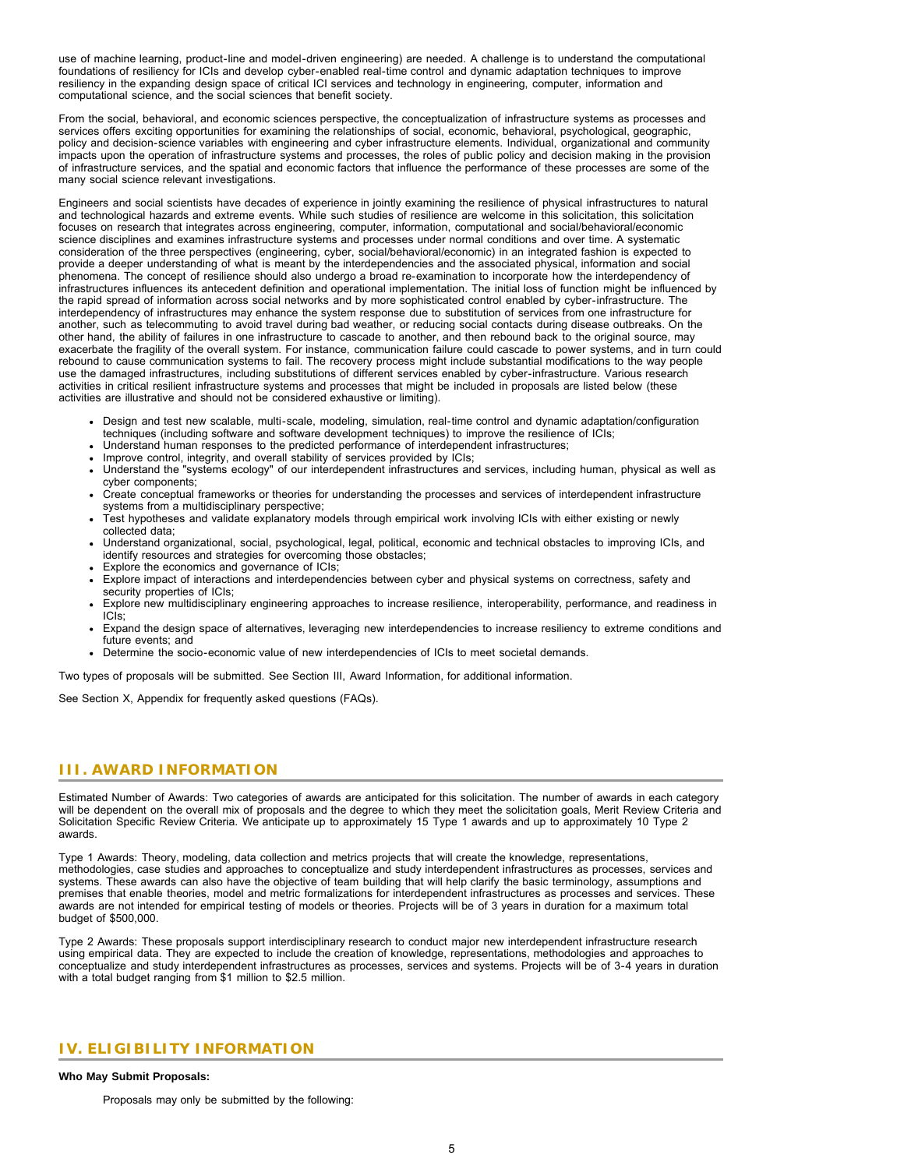use of machine learning, product-line and model-driven engineering) are needed. A challenge is to understand the computational foundations of resiliency for ICIs and develop cyber-enabled real-time control and dynamic adaptation techniques to improve resiliency in the expanding design space of critical ICI services and technology in engineering, computer, information and computational science, and the social sciences that benefit society.

From the social, behavioral, and economic sciences perspective, the conceptualization of infrastructure systems as processes and services offers exciting opportunities for examining the relationships of social, economic, behavioral, psychological, geographic, policy and decision-science variables with engineering and cyber infrastructure elements. Individual, organizational and community impacts upon the operation of infrastructure systems and processes, the roles of public policy and decision making in the provision of infrastructure services, and the spatial and economic factors that influence the performance of these processes are some of the many social science relevant investigations.

Engineers and social scientists have decades of experience in jointly examining the resilience of physical infrastructures to natural and technological hazards and extreme events. While such studies of resilience are welcome in this solicitation, this solicitation focuses on research that integrates across engineering, computer, information, computational and social/behavioral/economic science disciplines and examines infrastructure systems and processes under normal conditions and over time. A systematic consideration of the three perspectives (engineering, cyber, social/behavioral/economic) in an integrated fashion is expected to provide a deeper understanding of what is meant by the interdependencies and the associated physical, information and social phenomena. The concept of resilience should also undergo a broad re-examination to incorporate how the interdependency of infrastructures influences its antecedent definition and operational implementation. The initial loss of function might be influenced by the rapid spread of information across social networks and by more sophisticated control enabled by cyber-infrastructure. The interdependency of infrastructures may enhance the system response due to substitution of services from one infrastructure for another, such as telecommuting to avoid travel during bad weather, or reducing social contacts during disease outbreaks. On the other hand, the ability of failures in one infrastructure to cascade to another, and then rebound back to the original source, may exacerbate the fragility of the overall system. For instance, communication failure could cascade to power systems, and in turn could rebound to cause communication systems to fail. The recovery process might include substantial modifications to the way people use the damaged infrastructures, including substitutions of different services enabled by cyber-infrastructure. Various research activities in critical resilient infrastructure systems and processes that might be included in proposals are listed below (these activities are illustrative and should not be considered exhaustive or limiting).

- Design and test new scalable, multi-scale, modeling, simulation, real-time control and dynamic adaptation/configuration techniques (including software and software development techniques) to improve the resilience of ICIs;
- Understand human responses to the predicted performance of interdependent infrastructures;
- Improve control, integrity, and overall stability of services provided by ICIs;
- Understand the "systems ecology" of our interdependent infrastructures and services, including human, physical as well as cyber components;
- Create conceptual frameworks or theories for understanding the processes and services of interdependent infrastructure systems from a multidisciplinary perspective;
- Test hypotheses and validate explanatory models through empirical work involving ICIs with either existing or newly collected data;
- Understand organizational, social, psychological, legal, political, economic and technical obstacles to improving ICIs, and identify resources and strategies for overcoming those obstacles;
- Explore the economics and governance of ICIs;
- Explore impact of interactions and interdependencies between cyber and physical systems on correctness, safety and security properties of ICIs;
- Explore new multidisciplinary engineering approaches to increase resilience, interoperability, performance, and readiness in ICIs;
- Expand the design space of alternatives, leveraging new interdependencies to increase resiliency to extreme conditions and future events; and
- Determine the socio-economic value of new interdependencies of ICIs to meet societal demands.

Two types of proposals will be submitted. See Section III, Award Information, for additional information.

See Section X, Appendix for frequently asked questions (FAQs).

### <span id="page-4-0"></span>**III. AWARD INFORMATION**

Estimated Number of Awards: Two categories of awards are anticipated for this solicitation. The number of awards in each category will be dependent on the overall mix of proposals and the degree to which they meet the solicitation goals, Merit Review Criteria and Solicitation Specific Review Criteria. We anticipate up to approximately 15 Type 1 awards and up to approximately 10 Type 2 awards.

Type 1 Awards: Theory, modeling, data collection and metrics projects that will create the knowledge, representations, methodologies, case studies and approaches to conceptualize and study interdependent infrastructures as processes, services and systems. These awards can also have the objective of team building that will help clarify the basic terminology, assumptions and premises that enable theories, model and metric formalizations for interdependent infrastructures as processes and services. These awards are not intended for empirical testing of models or theories. Projects will be of 3 years in duration for a maximum total budget of \$500,000.

Type 2 Awards: These proposals support interdisciplinary research to conduct major new interdependent infrastructure research using empirical data. They are expected to include the creation of knowledge, representations, methodologies and approaches to conceptualize and study interdependent infrastructures as processes, services and systems. Projects will be of 3-4 years in duration with a total budget ranging from \$1 million to \$2.5 million.

### <span id="page-4-1"></span>**IV. ELIGIBILITY INFORMATION**

#### **Who May Submit Proposals:**

Proposals may only be submitted by the following: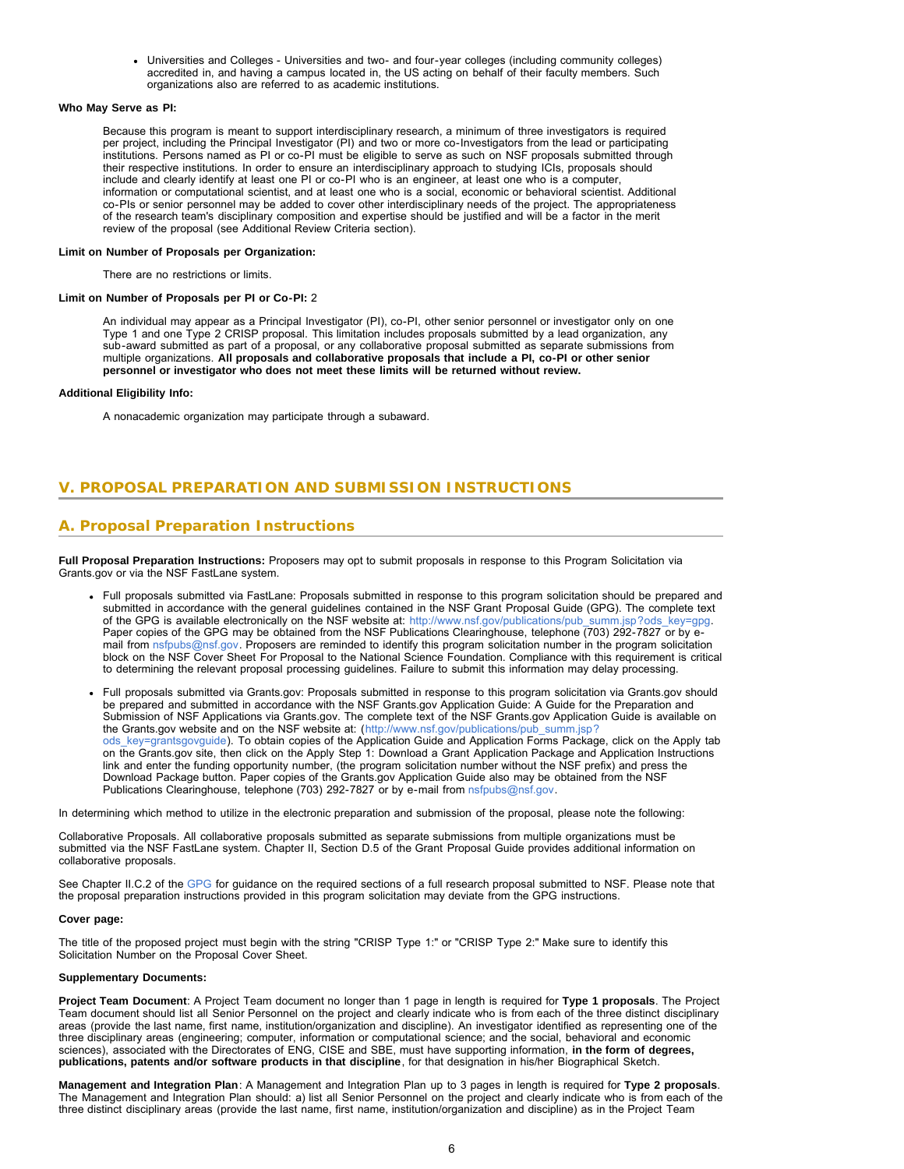Universities and Colleges - Universities and two- and four-year colleges (including community colleges) accredited in, and having a campus located in, the US acting on behalf of their faculty members. Such organizations also are referred to as academic institutions.

#### **Who May Serve as PI:**

Because this program is meant to support interdisciplinary research, a minimum of three investigators is required per project, including the Principal Investigator (PI) and two or more co-Investigators from the lead or participating institutions. Persons named as PI or co-PI must be eligible to serve as such on NSF proposals submitted through their respective institutions. In order to ensure an interdisciplinary approach to studying ICIs, proposals should include and clearly identify at least one PI or co-PI who is an engineer, at least one who is a computer, information or computational scientist, and at least one who is a social, economic or behavioral scientist. Additional co-PIs or senior personnel may be added to cover other interdisciplinary needs of the project. The appropriateness of the research team's disciplinary composition and expertise should be justified and will be a factor in the merit review of the proposal (see Additional Review Criteria section).

#### **Limit on Number of Proposals per Organization:**

There are no restrictions or limits.

#### **Limit on Number of Proposals per PI or Co-PI:** 2

An individual may appear as a Principal Investigator (PI), co-PI, other senior personnel or investigator only on one Type 1 and one Type 2 CRISP proposal. This limitation includes proposals submitted by a lead organization, any sub-award submitted as part of a proposal, or any collaborative proposal submitted as separate submissions from multiple organizations. **All proposals and collaborative proposals that include a PI, co-PI or other senior personnel or investigator who does not meet these limits will be returned without review.**

#### **Additional Eligibility Info:**

A nonacademic organization may participate through a subaward.

### <span id="page-5-0"></span>**V. PROPOSAL PREPARATION AND SUBMISSION INSTRUCTIONS**

### **A. Proposal Preparation Instructions**

**Full Proposal Preparation Instructions:** Proposers may opt to submit proposals in response to this Program Solicitation via Grants.gov or via the NSF FastLane system.

- Full proposals submitted via FastLane: Proposals submitted in response to this program solicitation should be prepared and submitted in accordance with the general guidelines contained in the NSF Grant Proposal Guide (GPG). The complete text of the GPG is available electronically on the NSF website at: [http://www.nsf.gov/publications/pub\\_summ.jsp?ods\\_key=gpg.](http://www.nsf.gov/publications/pub_summ.jsp?ods_key=gpg) Paper copies of the GPG may be obtained from the NSF Publications Clearinghouse, telephone (703) 292-7827 or by email from [nsfpubs@nsf.gov.](mailto:nsfpubs@nsf.gov) Proposers are reminded to identify this program solicitation number in the program solicitation block on the NSF Cover Sheet For Proposal to the National Science Foundation. Compliance with this requirement is critical to determining the relevant proposal processing guidelines. Failure to submit this information may delay processing.
- Full proposals submitted via Grants.gov: Proposals submitted in response to this program solicitation via Grants.gov should be prepared and submitted in accordance with the NSF Grants.gov Application Guide: A Guide for the Preparation and Submission of NSF Applications via Grants.gov. The complete text of the NSF Grants.gov Application Guide is available on the Grants.gov website and on the NSF website at: ([http://www.nsf.gov/publications/pub\\_summ.jsp?](http://www.nsf.gov/publications/pub_summ.jsp?ods_key=grantsgovguide) ods key=grantsgovguide). To obtain copies of the Application Guide and Application Forms Package, click on the Apply tab on the Grants.gov site, then click on the Apply Step 1: Download a Grant Application Package and Application Instructions link and enter the funding opportunity number, (the program solicitation number without the NSF prefix) and press the Download Package button. Paper copies of the Grants.gov Application Guide also may be obtained from the NSF Publications Clearinghouse, telephone (703) 292-7827 or by e-mail from [nsfpubs@nsf.gov.](mailto:nsfpubs@nsf.gov)

In determining which method to utilize in the electronic preparation and submission of the proposal, please note the following:

Collaborative Proposals. All collaborative proposals submitted as separate submissions from multiple organizations must be submitted via the NSF FastLane system. Chapter II, Section D.5 of the Grant Proposal Guide provides additional information on collaborative proposals.

See Chapter II.C.2 of the [GPG](http://www.nsf.gov/publications/pub_summ.jsp?ods_key=gpg) for guidance on the required sections of a full research proposal submitted to NSF. Please note that the proposal preparation instructions provided in this program solicitation may deviate from the GPG instructions.

#### **Cover page:**

The title of the proposed project must begin with the string "CRISP Type 1:" or "CRISP Type 2:" Make sure to identify this Solicitation Number on the Proposal Cover Sheet.

#### **Supplementary Documents:**

**Project Team Document**: A Project Team document no longer than 1 page in length is required for **Type 1 proposals**. The Project Team document should list all Senior Personnel on the project and clearly indicate who is from each of the three distinct disciplinary areas (provide the last name, first name, institution/organization and discipline). An investigator identified as representing one of the three disciplinary areas (engineering; computer, information or computational science; and the social, behavioral and economic sciences), associated with the Directorates of ENG, CISE and SBE, must have supporting information, **in the form of degrees, publications, patents and/or software products in that discipline**, for that designation in his/her Biographical Sketch.

**Management and Integration Plan**: A Management and Integration Plan up to 3 pages in length is required for **Type 2 proposals**. The Management and Integration Plan should: a) list all Senior Personnel on the project and clearly indicate who is from each of the three distinct disciplinary areas (provide the last name, first name, institution/organization and discipline) as in the Project Team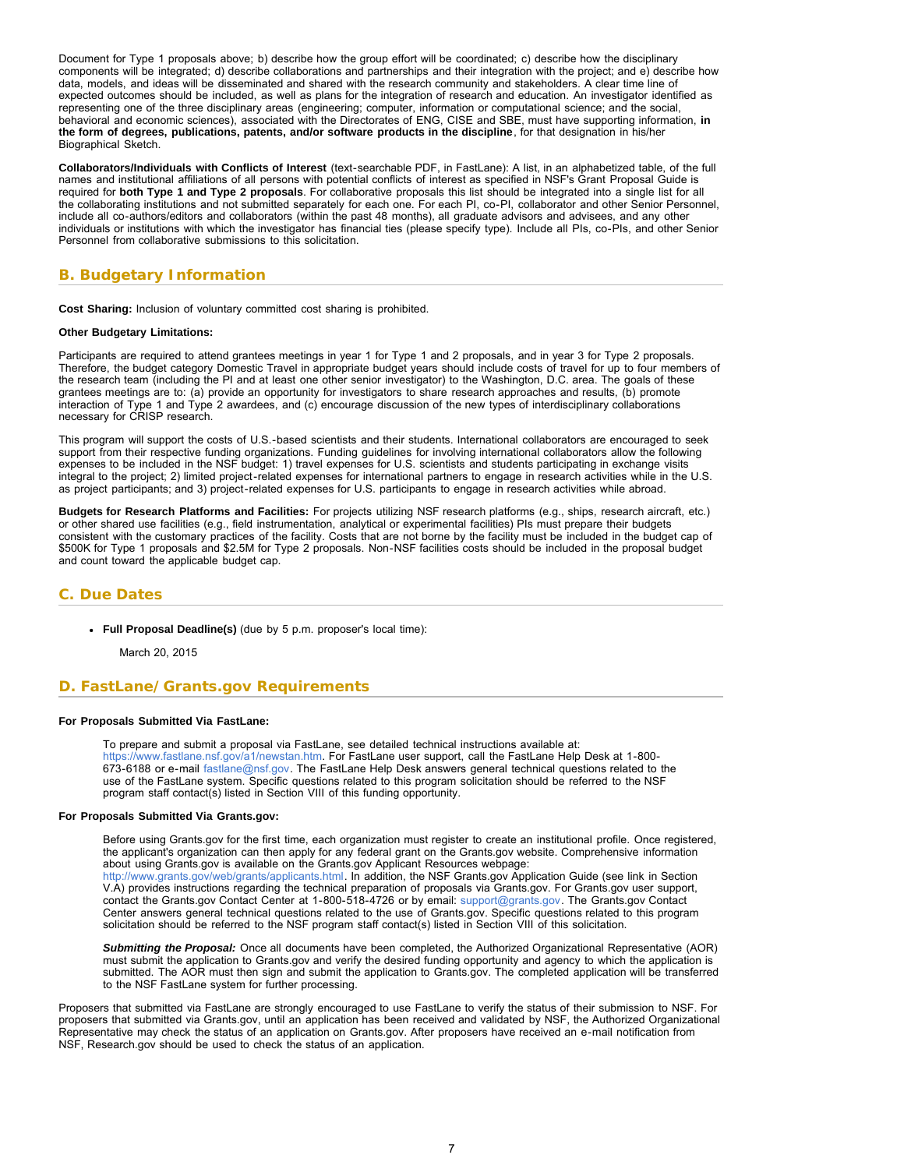<span id="page-6-1"></span>Document for Type 1 proposals above; b) describe how the group effort will be coordinated; c) describe how the disciplinary components will be integrated; d) describe collaborations and partnerships and their integration with the project; and e) describe how data, models, and ideas will be disseminated and shared with the research community and stakeholders. A clear time line of expected outcomes should be included, as well as plans for the integration of research and education. An investigator identified as representing one of the three disciplinary areas (engineering; computer, information or computational science; and the social, behavioral and economic sciences), associated with the Directorates of ENG, CISE and SBE, must have supporting information, **in the form of degrees, publications, patents, and/or software products in the discipline**, for that designation in his/her Biographical Sketch.

**Collaborators/Individuals with Conflicts of Interest** (text-searchable PDF, in FastLane): A list, in an alphabetized table, of the full names and institutional affiliations of all persons with potential conflicts of interest as specified in NSF's Grant Proposal Guide is required for **both Type 1 and Type 2 proposals**. For collaborative proposals this list should be integrated into a single list for all the collaborating institutions and not submitted separately for each one. For each PI, co-PI, collaborator and other Senior Personnel, include all co-authors/editors and collaborators (within the past 48 months), all graduate advisors and advisees, and any other individuals or institutions with which the investigator has financial ties (please specify type). Include all PIs, co-PIs, and other Senior Personnel from collaborative submissions to this solicitation.

### <span id="page-6-0"></span>**B. Budgetary Information**

**Cost Sharing:** Inclusion of voluntary committed cost sharing is prohibited.

#### **Other Budgetary Limitations:**

Participants are required to attend grantees meetings in year 1 for Type 1 and 2 proposals, and in year 3 for Type 2 proposals. Therefore, the budget category Domestic Travel in appropriate budget years should include costs of travel for up to four members of the research team (including the PI and at least one other senior investigator) to the Washington, D.C. area. The goals of these grantees meetings are to: (a) provide an opportunity for investigators to share research approaches and results, (b) promote interaction of Type 1 and Type 2 awardees, and (c) encourage discussion of the new types of interdisciplinary collaborations necessary for CRISP research.

This program will support the costs of U.S.-based scientists and their students. International collaborators are encouraged to seek support from their respective funding organizations. Funding guidelines for involving international collaborators allow the following expenses to be included in the NSF budget: 1) travel expenses for U.S. scientists and students participating in exchange visits integral to the project; 2) limited project-related expenses for international partners to engage in research activities while in the U.S. as project participants; and 3) project-related expenses for U.S. participants to engage in research activities while abroad.

**Budgets for Research Platforms and Facilities:** For projects utilizing NSF research platforms (e.g., ships, research aircraft, etc.) or other shared use facilities (e.g., field instrumentation, analytical or experimental facilities) PIs must prepare their budgets consistent with the customary practices of the facility. Costs that are not borne by the facility must be included in the budget cap of \$500K for Type 1 proposals and \$2.5M for Type 2 proposals. Non-NSF facilities costs should be included in the proposal budget and count toward the applicable budget cap.

### **C. Due Dates**

**Full Proposal Deadline(s)** (due by 5 p.m. proposer's local time):

March 20, 2015

### <span id="page-6-2"></span>**D. FastLane/Grants.gov Requirements**

#### **For Proposals Submitted Via FastLane:**

To prepare and submit a proposal via FastLane, see detailed technical instructions available at: [https://www.fastlane.nsf.gov/a1/newstan.htm.](https://www.fastlane.nsf.gov/a1/newstan.htm) For FastLane user support, call the FastLane Help Desk at 1-800- 673-6188 or e-mail [fastlane@nsf.gov.](mailto:fastlane@nsf.gov) The FastLane Help Desk answers general technical questions related to the use of the FastLane system. Specific questions related to this program solicitation should be referred to the NSF program staff contact(s) listed in Section VIII of this funding opportunity.

#### **For Proposals Submitted Via Grants.gov:**

Before using Grants.gov for the first time, each organization must register to create an institutional profile. Once registered, the applicant's organization can then apply for any federal grant on the Grants.gov website. Comprehensive information about using Grants.gov is available on the Grants.gov Applicant Resources webpage: [http://www.grants.gov/web/grants/applicants.html.](http://www.grants.gov/web/grants/applicants.html) In addition, the NSF Grants.gov Application Guide (see link in Section V.A) provides instructions regarding the technical preparation of proposals via Grants.gov. For Grants.gov user support,

contact the Grants.gov Contact Center at 1-800-518-4726 or by email: [support@grants.gov](mailto:support@grants.gov). The Grants.gov Contact Center answers general technical questions related to the use of Grants.gov. Specific questions related to this program solicitation should be referred to the NSF program staff contact(s) listed in Section VIII of this solicitation.

*Submitting the Proposal:* Once all documents have been completed, the Authorized Organizational Representative (AOR) must submit the application to Grants.gov and verify the desired funding opportunity and agency to which the application is submitted. The AOR must then sign and submit the application to Grants.gov. The completed application will be transferred to the NSF FastLane system for further processing.

<span id="page-6-3"></span>Proposers that submitted via FastLane are strongly encouraged to use FastLane to verify the status of their submission to NSF. For proposers that submitted via Grants.gov, until an application has been received and validated by NSF, the Authorized Organizational Representative may check the status of an application on Grants.gov. After proposers have received an e-mail notification from NSF, Research.gov should be used to check the status of an application.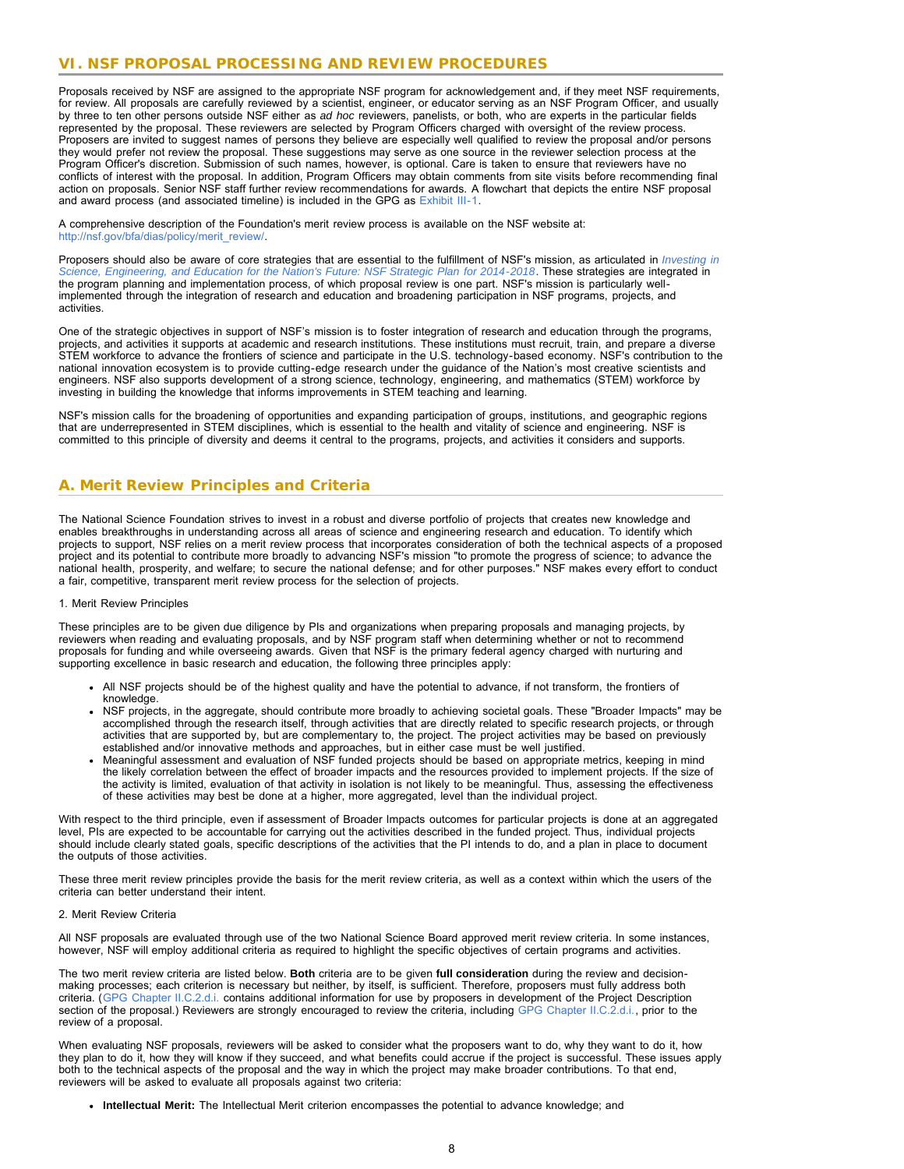### **VI. NSF PROPOSAL PROCESSING AND REVIEW PROCEDURES**

Proposals received by NSF are assigned to the appropriate NSF program for acknowledgement and, if they meet NSF requirements, for review. All proposals are carefully reviewed by a scientist, engineer, or educator serving as an NSF Program Officer, and usually by three to ten other persons outside NSF either as *ad hoc* reviewers, panelists, or both, who are experts in the particular fields represented by the proposal. These reviewers are selected by Program Officers charged with oversight of the review process. Proposers are invited to suggest names of persons they believe are especially well qualified to review the proposal and/or persons they would prefer not review the proposal. These suggestions may serve as one source in the reviewer selection process at the Program Officer's discretion. Submission of such names, however, is optional. Care is taken to ensure that reviewers have no conflicts of interest with the proposal. In addition, Program Officers may obtain comments from site visits before recommending final action on proposals. Senior NSF staff further review recommendations for awards. A flowchart that depicts the entire NSF proposal and award process (and associated timeline) is included in the GPG as [Exhibit III-1](http://www.nsf.gov/pubs/policydocs/pappguide/nsf14001/gpg_3ex1.pdf).

A comprehensive description of the Foundation's merit review process is available on the NSF website at: [http://nsf.gov/bfa/dias/policy/merit\\_review/.](http://nsf.gov/bfa/dias/policy/merit_review/)

Proposers should also be aware of core strategies that are essential to the fulfillment of NSF's mission, as articulated in *[Investing in](http://www.nsf.gov/pubs/2014/nsf14043/nsf14043.pdf) [Science, Engineering, and Education for the Nation's Future: NSF Strategic Plan for 2014-2018](http://www.nsf.gov/pubs/2014/nsf14043/nsf14043.pdf)*. These strategies are integrated in the program planning and implementation process, of which proposal review is one part. NSF's mission is particularly wellimplemented through the integration of research and education and broadening participation in NSF programs, projects, and activities.

One of the strategic objectives in support of NSF's mission is to foster integration of research and education through the programs, projects, and activities it supports at academic and research institutions. These institutions must recruit, train, and prepare a diverse STEM workforce to advance the frontiers of science and participate in the U.S. technology-based economy. NSF's contribution to the national innovation ecosystem is to provide cutting-edge research under the guidance of the Nation's most creative scientists and engineers. NSF also supports development of a strong science, technology, engineering, and mathematics (STEM) workforce by investing in building the knowledge that informs improvements in STEM teaching and learning.

NSF's mission calls for the broadening of opportunities and expanding participation of groups, institutions, and geographic regions that are underrepresented in STEM disciplines, which is essential to the health and vitality of science and engineering. NSF is committed to this principle of diversity and deems it central to the programs, projects, and activities it considers and supports.

### <span id="page-7-0"></span>**A. Merit Review Principles and Criteria**

The National Science Foundation strives to invest in a robust and diverse portfolio of projects that creates new knowledge and enables breakthroughs in understanding across all areas of science and engineering research and education. To identify which projects to support, NSF relies on a merit review process that incorporates consideration of both the technical aspects of a proposed project and its potential to contribute more broadly to advancing NSF's mission "to promote the progress of science; to advance the national health, prosperity, and welfare; to secure the national defense; and for other purposes." NSF makes every effort to conduct a fair, competitive, transparent merit review process for the selection of projects.

#### 1. Merit Review Principles

These principles are to be given due diligence by PIs and organizations when preparing proposals and managing projects, by reviewers when reading and evaluating proposals, and by NSF program staff when determining whether or not to recommend proposals for funding and while overseeing awards. Given that NSF is the primary federal agency charged with nurturing and supporting excellence in basic research and education, the following three principles apply:

- All NSF projects should be of the highest quality and have the potential to advance, if not transform, the frontiers of knowledge.
- NSF projects, in the aggregate, should contribute more broadly to achieving societal goals. These "Broader Impacts" may be accomplished through the research itself, through activities that are directly related to specific research projects, or through activities that are supported by, but are complementary to, the project. The project activities may be based on previously established and/or innovative methods and approaches, but in either case must be well justified.
- Meaningful assessment and evaluation of NSF funded projects should be based on appropriate metrics, keeping in mind the likely correlation between the effect of broader impacts and the resources provided to implement projects. If the size of the activity is limited, evaluation of that activity in isolation is not likely to be meaningful. Thus, assessing the effectiveness of these activities may best be done at a higher, more aggregated, level than the individual project.

With respect to the third principle, even if assessment of Broader Impacts outcomes for particular projects is done at an aggregated level, PIs are expected to be accountable for carrying out the activities described in the funded project. Thus, individual projects should include clearly stated goals, specific descriptions of the activities that the PI intends to do, and a plan in place to document the outputs of those activities.

These three merit review principles provide the basis for the merit review criteria, as well as a context within which the users of the criteria can better understand their intent.

#### 2. Merit Review Criteria

All NSF proposals are evaluated through use of the two National Science Board approved merit review criteria. In some instances, however, NSF will employ additional criteria as required to highlight the specific objectives of certain programs and activities.

The two merit review criteria are listed below. **Both** criteria are to be given **full consideration** during the review and decisionmaking processes; each criterion is necessary but neither, by itself, is sufficient. Therefore, proposers must fully address both criteria. ([GPG Chapter II.C.2.d.i.](http://www.nsf.gov/pubs/policydocs/pappguide/nsf15001/gpg_2.jsp#IIC2di) contains additional information for use by proposers in development of the Project Description section of the proposal.) Reviewers are strongly encouraged to review the criteria, including [GPG Chapter II.C.2.d.i.,](http://www.nsf.gov/pubs/policydocs/pappguide/nsf15001/gpg_2.jsp#IIC2di) prior to the review of a proposal.

When evaluating NSF proposals, reviewers will be asked to consider what the proposers want to do, why they want to do it, how they plan to do it, how they will know if they succeed, and what benefits could accrue if the project is successful. These issues apply both to the technical aspects of the proposal and the way in which the project may make broader contributions. To that end, reviewers will be asked to evaluate all proposals against two criteria:

**Intellectual Merit:** The Intellectual Merit criterion encompasses the potential to advance knowledge; and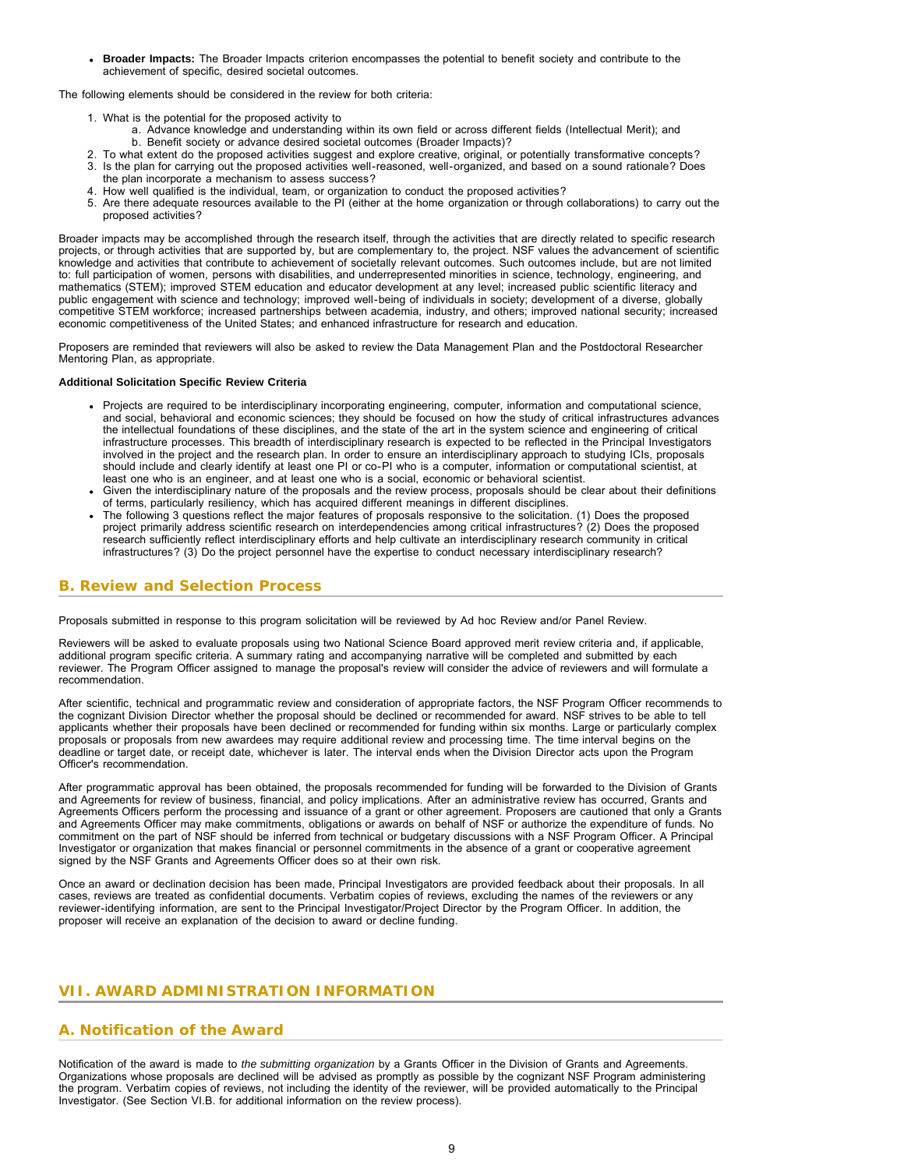**Broader Impacts:** The Broader Impacts criterion encompasses the potential to benefit society and contribute to the achievement of specific, desired societal outcomes.

The following elements should be considered in the review for both criteria:

- 1. What is the potential for the proposed activity to
	- a. Advance knowledge and understanding within its own field or across different fields (Intellectual Merit); and b. Benefit society or advance desired societal outcomes (Broader Impacts)?
- 2. To what extent do the proposed activities suggest and explore creative, original, or potentially transformative concepts?
- 3. Is the plan for carrying out the proposed activities well-reasoned, well-organized, and based on a sound rationale? Does the plan incorporate a mechanism to assess success?
- 4. How well qualified is the individual, team, or organization to conduct the proposed activities?
- 5. Are there adequate resources available to the PI (either at the home organization or through collaborations) to carry out the proposed activities?

Broader impacts may be accomplished through the research itself, through the activities that are directly related to specific research projects, or through activities that are supported by, but are complementary to, the project. NSF values the advancement of scientific knowledge and activities that contribute to achievement of societally relevant outcomes. Such outcomes include, but are not limited to: full participation of women, persons with disabilities, and underrepresented minorities in science, technology, engineering, and mathematics (STEM); improved STEM education and educator development at any level; increased public scientific literacy and public engagement with science and technology; improved well-being of individuals in society; development of a diverse, globally competitive STEM workforce; increased partnerships between academia, industry, and others; improved national security; increased economic competitiveness of the United States; and enhanced infrastructure for research and education.

Proposers are reminded that reviewers will also be asked to review the Data Management Plan and the Postdoctoral Researcher Mentoring Plan, as appropriate.

#### **Additional Solicitation Specific Review Criteria**

- Projects are required to be interdisciplinary incorporating engineering, computer, information and computational science, and social, behavioral and economic sciences; they should be focused on how the study of critical infrastructures advances the intellectual foundations of these disciplines, and the state of the art in the system science and engineering of critical infrastructure processes. This breadth of interdisciplinary research is expected to be reflected in the Principal Investigators involved in the project and the research plan. In order to ensure an interdisciplinary approach to studying ICIs, proposals should include and clearly identify at least one PI or co-PI who is a computer, information or computational scientist, at least one who is an engineer, and at least one who is a social, economic or behavioral scientist.
- Given the interdisciplinary nature of the proposals and the review process, proposals should be clear about their definitions of terms, particularly resiliency, which has acquired different meanings in different disciplines.
- The following 3 questions reflect the major features of proposals responsive to the solicitation. (1) Does the proposed project primarily address scientific research on interdependencies among critical infrastructures? (2) Does the proposed research sufficiently reflect interdisciplinary efforts and help cultivate an interdisciplinary research community in critical infrastructures? (3) Do the project personnel have the expertise to conduct necessary interdisciplinary research?

### <span id="page-8-0"></span>**B. Review and Selection Process**

Proposals submitted in response to this program solicitation will be reviewed by Ad hoc Review and/or Panel Review.

Reviewers will be asked to evaluate proposals using two National Science Board approved merit review criteria and, if applicable, additional program specific criteria. A summary rating and accompanying narrative will be completed and submitted by each reviewer. The Program Officer assigned to manage the proposal's review will consider the advice of reviewers and will formulate a recommendation.

After scientific, technical and programmatic review and consideration of appropriate factors, the NSF Program Officer recommends to the cognizant Division Director whether the proposal should be declined or recommended for award. NSF strives to be able to tell applicants whether their proposals have been declined or recommended for funding within six months. Large or particularly complex proposals or proposals from new awardees may require additional review and processing time. The time interval begins on the deadline or target date, or receipt date, whichever is later. The interval ends when the Division Director acts upon the Program Officer's recommendation.

After programmatic approval has been obtained, the proposals recommended for funding will be forwarded to the Division of Grants and Agreements for review of business, financial, and policy implications. After an administrative review has occurred, Grants and Agreements Officers perform the processing and issuance of a grant or other agreement. Proposers are cautioned that only a Grants and Agreements Officer may make commitments, obligations or awards on behalf of NSF or authorize the expenditure of funds. No commitment on the part of NSF should be inferred from technical or budgetary discussions with a NSF Program Officer. A Principal Investigator or organization that makes financial or personnel commitments in the absence of a grant or cooperative agreement signed by the NSF Grants and Agreements Officer does so at their own risk.

Once an award or declination decision has been made, Principal Investigators are provided feedback about their proposals. In all cases, reviews are treated as confidential documents. Verbatim copies of reviews, excluding the names of the reviewers or any reviewer-identifying information, are sent to the Principal Investigator/Project Director by the Program Officer. In addition, the proposer will receive an explanation of the decision to award or decline funding.

### <span id="page-8-1"></span>**VII. AWARD ADMINISTRATION INFORMATION**

### <span id="page-8-2"></span>**A. Notification of the Award**

Notification of the award is made to *the submitting organization* by a Grants Officer in the Division of Grants and Agreements. Organizations whose proposals are declined will be advised as promptly as possible by the cognizant NSF Program administering the program. Verbatim copies of reviews, not including the identity of the reviewer, will be provided automatically to the Principal Investigator. (See Section VI.B. for additional information on the review process).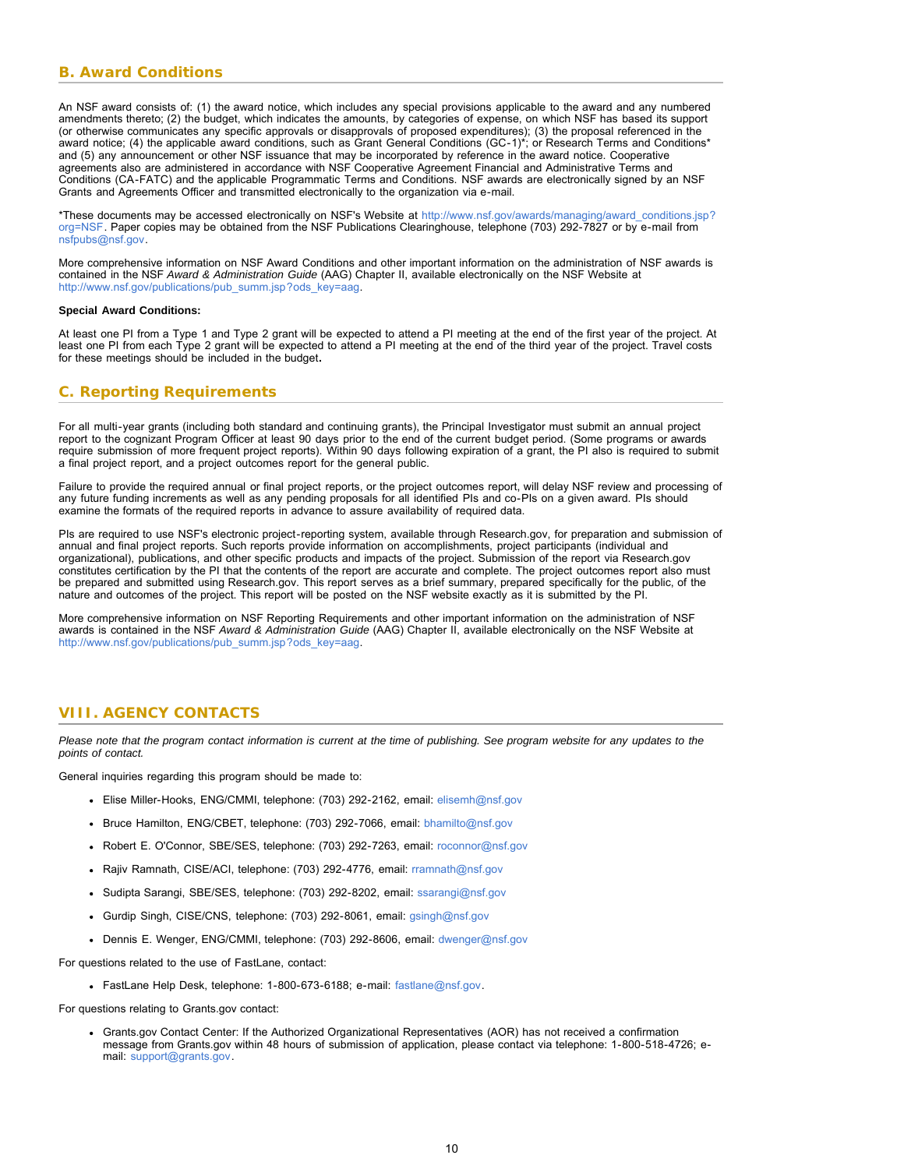### <span id="page-9-0"></span>**B. Award Conditions**

An NSF award consists of: (1) the award notice, which includes any special provisions applicable to the award and any numbered amendments thereto; (2) the budget, which indicates the amounts, by categories of expense, on which NSF has based its support (or otherwise communicates any specific approvals or disapprovals of proposed expenditures); (3) the proposal referenced in the award notice; (4) the applicable award conditions, such as Grant General Conditions (GC-1)\*; or Research Terms and Conditions\* and (5) any announcement or other NSF issuance that may be incorporated by reference in the award notice. Cooperative agreements also are administered in accordance with NSF Cooperative Agreement Financial and Administrative Terms and Conditions (CA-FATC) and the applicable Programmatic Terms and Conditions. NSF awards are electronically signed by an NSF Grants and Agreements Officer and transmitted electronically to the organization via e-mail.

\*These documents may be accessed electronically on NSF's Website at [http://www.nsf.gov/awards/managing/award\\_conditions.jsp?](http://www.nsf.gov/awards/managing/award_conditions.jsp?org=NSF) [org=NSF.](http://www.nsf.gov/awards/managing/award_conditions.jsp?org=NSF) Paper copies may be obtained from the NSF Publications Clearinghouse, telephone (703) 292-7827 or by e-mail from [nsfpubs@nsf.gov.](mailto:nsfpubs@nsf.gov)

More comprehensive information on NSF Award Conditions and other important information on the administration of NSF awards is contained in the NSF *Award & Administration Guide* (AAG) Chapter II, available electronically on the NSF Website at [http://www.nsf.gov/publications/pub\\_summ.jsp?ods\\_key=aag.](http://www.nsf.gov/publications/pub_summ.jsp?ods_key=aag)

#### **Special Award Conditions:**

At least one PI from a Type 1 and Type 2 grant will be expected to attend a PI meeting at the end of the first year of the project. At least one PI from each Type 2 grant will be expected to attend a PI meeting at the end of the third year of the project. Travel costs for these meetings should be included in the budget**.**

### <span id="page-9-1"></span>**C. Reporting Requirements**

For all multi-year grants (including both standard and continuing grants), the Principal Investigator must submit an annual project report to the cognizant Program Officer at least 90 days prior to the end of the current budget period. (Some programs or awards require submission of more frequent project reports). Within 90 days following expiration of a grant, the PI also is required to submit a final project report, and a project outcomes report for the general public.

Failure to provide the required annual or final project reports, or the project outcomes report, will delay NSF review and processing of any future funding increments as well as any pending proposals for all identified PIs and co-PIs on a given award. PIs should examine the formats of the required reports in advance to assure availability of required data.

PIs are required to use NSF's electronic project-reporting system, available through Research.gov, for preparation and submission of annual and final project reports. Such reports provide information on accomplishments, project participants (individual and organizational), publications, and other specific products and impacts of the project. Submission of the report via Research.gov constitutes certification by the PI that the contents of the report are accurate and complete. The project outcomes report also must be prepared and submitted using Research.gov. This report serves as a brief summary, prepared specifically for the public, of the nature and outcomes of the project. This report will be posted on the NSF website exactly as it is submitted by the PI.

More comprehensive information on NSF Reporting Requirements and other important information on the administration of NSF awards is contained in the NSF *Award & Administration Guide* (AAG) Chapter II, available electronically on the NSF Website at [http://www.nsf.gov/publications/pub\\_summ.jsp?ods\\_key=aag.](http://www.nsf.gov/publications/pub_summ.jsp?ods_key=aag)

### <span id="page-9-2"></span>**VIII. AGENCY CONTACTS**

*Please note that the program contact information is current at the time of publishing. See program website for any updates to the points of contact.*

General inquiries regarding this program should be made to:

- Elise Miller-Hooks, ENG/CMMI, telephone: (703) 292-2162, email: [elisemh@nsf.gov](mailto:elisemh@nsf.gov)
- Bruce Hamilton, ENG/CBET, telephone: (703) 292-7066, email: [bhamilto@nsf.gov](mailto:bhamilto@nsf.gov)
- Robert E. O'Connor, SBE/SES, telephone: (703) 292-7263, email: [roconnor@nsf.gov](mailto:roconnor@nsf.gov)
- Rajiv Ramnath, CISE/ACI, telephone: (703) 292-4776, email: [rramnath@nsf.gov](mailto:rramnath@nsf.gov)
- Sudipta Sarangi, SBE/SES, telephone: (703) 292-8202, email: [ssarangi@nsf.gov](mailto:ssarangi@nsf.gov)
- Gurdip Singh, CISE/CNS, telephone: (703) 292-8061, email: [gsingh@nsf.gov](mailto:gsingh@nsf.gov)
- Dennis E. Wenger, ENG/CMMI, telephone: (703) 292-8606, email: [dwenger@nsf.gov](mailto:dwenger@nsf.gov)

For questions related to the use of FastLane, contact:

FastLane Help Desk, telephone: 1-800-673-6188; e-mail: [fastlane@nsf.gov.](mailto:fastlane@nsf.gov)

For questions relating to Grants.gov contact:

Grants.gov Contact Center: If the Authorized Organizational Representatives (AOR) has not received a confirmation message from Grants.gov within 48 hours of submission of application, please contact via telephone: 1-800-518-4726; email: [support@grants.gov.](mailto:support@grants.gov)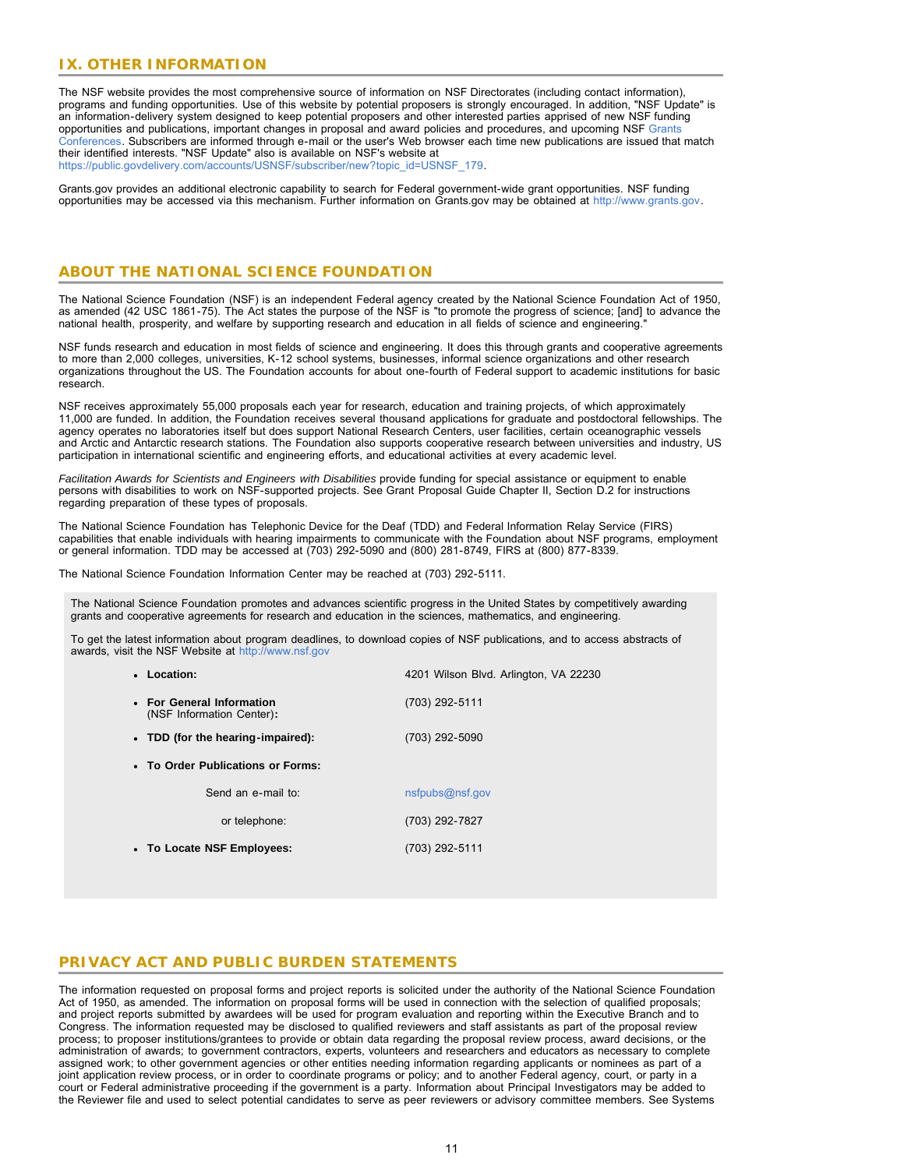### <span id="page-10-0"></span>**IX. OTHER INFORMATION**

The NSF website provides the most comprehensive source of information on NSF Directorates (including contact information), programs and funding opportunities. Use of this website by potential proposers is strongly encouraged. In addition, "NSF Update" is an information-delivery system designed to keep potential proposers and other interested parties apprised of new NSF funding opportunities and publications, important changes in proposal and award policies and procedures, and upcoming NSF [Grants](http://www.nsf.gov/bfa/dias/policy/outreach.jsp) [Conferences.](http://www.nsf.gov/bfa/dias/policy/outreach.jsp) Subscribers are informed through e-mail or the user's Web browser each time new publications are issued that match their identified interests. "NSF Update" also is available on NSF's website at [https://public.govdelivery.com/accounts/USNSF/subscriber/new?topic\\_id=USNSF\\_179.](http://www.nsf.gov/cgi-bin/good-bye?https://public.govdelivery.com/accounts/USNSF/subscriber/new?topic_id=USNSF_179)

Grants.gov provides an additional electronic capability to search for Federal government-wide grant opportunities. NSF funding opportunities may be accessed via this mechanism. Further information on Grants.gov may be obtained at [http://www.grants.gov.](http://www.grants.gov/)

### **ABOUT THE NATIONAL SCIENCE FOUNDATION**

The National Science Foundation (NSF) is an independent Federal agency created by the National Science Foundation Act of 1950, as amended (42 USC 1861-75). The Act states the purpose of the NSF is "to promote the progress of science; [and] to advance the national health, prosperity, and welfare by supporting research and education in all fields of science and engineering."

NSF funds research and education in most fields of science and engineering. It does this through grants and cooperative agreements to more than 2,000 colleges, universities, K-12 school systems, businesses, informal science organizations and other research organizations throughout the US. The Foundation accounts for about one-fourth of Federal support to academic institutions for basic research.

NSF receives approximately 55,000 proposals each year for research, education and training projects, of which approximately 11,000 are funded. In addition, the Foundation receives several thousand applications for graduate and postdoctoral fellowships. The agency operates no laboratories itself but does support National Research Centers, user facilities, certain oceanographic vessels and Arctic and Antarctic research stations. The Foundation also supports cooperative research between universities and industry, US participation in international scientific and engineering efforts, and educational activities at every academic level.

*Facilitation Awards for Scientists and Engineers with Disabilities* provide funding for special assistance or equipment to enable persons with disabilities to work on NSF-supported projects. See Grant Proposal Guide Chapter II, Section D.2 for instructions regarding preparation of these types of proposals.

The National Science Foundation has Telephonic Device for the Deaf (TDD) and Federal Information Relay Service (FIRS) capabilities that enable individuals with hearing impairments to communicate with the Foundation about NSF programs, employment or general information. TDD may be accessed at (703) 292-5090 and (800) 281-8749, FIRS at (800) 877-8339.

The National Science Foundation Information Center may be reached at (703) 292-5111.

The National Science Foundation promotes and advances scientific progress in the United States by competitively awarding grants and cooperative agreements for research and education in the sciences, mathematics, and engineering.

To get the latest information about program deadlines, to download copies of NSF publications, and to access abstracts of awards, visit the NSF Website at [http://www.nsf.gov](http://www.nsf.gov/)

| 4201 Wilson Blvd. Arlington, VA 22230 |  |  |  |  |  |
|---------------------------------------|--|--|--|--|--|
| (703) 292-5111                        |  |  |  |  |  |
| (703) 292-5090                        |  |  |  |  |  |
|                                       |  |  |  |  |  |
| nsfpubs@nsf.gov                       |  |  |  |  |  |
| (703) 292-7827                        |  |  |  |  |  |
| (703) 292-5111                        |  |  |  |  |  |
|                                       |  |  |  |  |  |

### **PRIVACY ACT AND PUBLIC BURDEN STATEMENTS**

The information requested on proposal forms and project reports is solicited under the authority of the National Science Foundation Act of 1950, as amended. The information on proposal forms will be used in connection with the selection of qualified proposals; and project reports submitted by awardees will be used for program evaluation and reporting within the Executive Branch and to Congress. The information requested may be disclosed to qualified reviewers and staff assistants as part of the proposal review process; to proposer institutions/grantees to provide or obtain data regarding the proposal review process, award decisions, or the administration of awards; to government contractors, experts, volunteers and researchers and educators as necessary to complete assigned work; to other government agencies or other entities needing information regarding applicants or nominees as part of a joint application review process, or in order to coordinate programs or policy; and to another Federal agency, court, or party in a court or Federal administrative proceeding if the government is a party. Information about Principal Investigators may be added to the Reviewer file and used to select potential candidates to serve as peer reviewers or advisory committee members. See Systems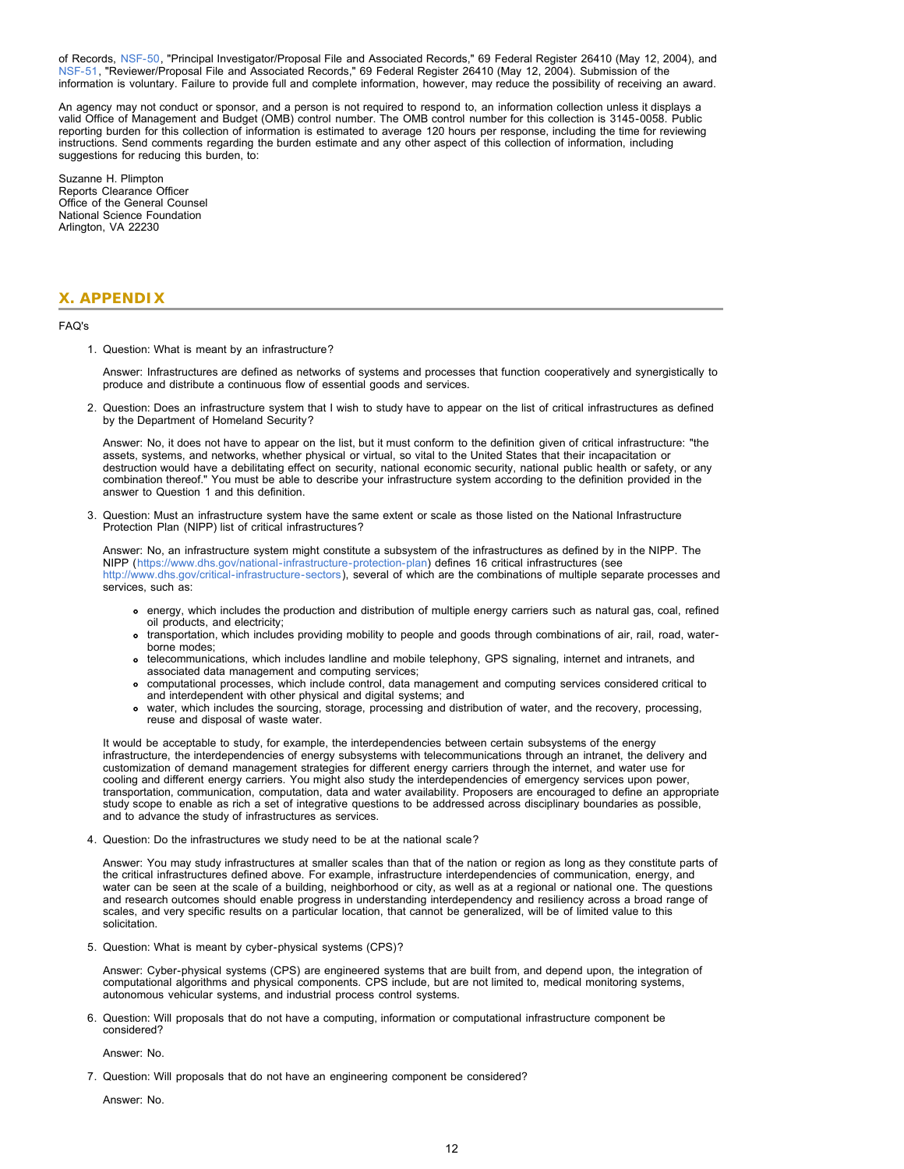of Records, [NSF-50,](http://www.nsf.gov/policies/SOR_PA_NSF-50_Principal_Investigator_Proposal_File.pdf) "Principal Investigator/Proposal File and Associated Records," 69 Federal Register 26410 (May 12, 2004), and [NSF-51,](http://www.nsf.gov/policies/SOR_PA_NSF-51_Reviewer_Proposal_File.pdf) "Reviewer/Proposal File and Associated Records," 69 Federal Register 26410 (May 12, 2004). Submission of the information is voluntary. Failure to provide full and complete information, however, may reduce the possibility of receiving an award.

An agency may not conduct or sponsor, and a person is not required to respond to, an information collection unless it displays a valid Office of Management and Budget (OMB) control number. The OMB control number for this collection is 3145-0058. Public reporting burden for this collection of information is estimated to average 120 hours per response, including the time for reviewing instructions. Send comments regarding the burden estimate and any other aspect of this collection of information, including suggestions for reducing this burden, to:

Suzanne H. Plimpton Reports Clearance Officer Office of the General Counsel National Science Foundation Arlington, VA 22230

### <span id="page-11-0"></span>**X. APPENDIX**

#### FAQ's

1. Question: What is meant by an infrastructure?

Answer: Infrastructures are defined as networks of systems and processes that function cooperatively and synergistically to produce and distribute a continuous flow of essential goods and services.

2. Question: Does an infrastructure system that I wish to study have to appear on the list of critical infrastructures as defined by the Department of Homeland Security?

Answer: No, it does not have to appear on the list, but it must conform to the definition given of critical infrastructure: "the assets, systems, and networks, whether physical or virtual, so vital to the United States that their incapacitation or destruction would have a debilitating effect on security, national economic security, national public health or safety, or any combination thereof." You must be able to describe your infrastructure system according to the definition provided in the answer to Question 1 and this definition.

3. Question: Must an infrastructure system have the same extent or scale as those listed on the National Infrastructure Protection Plan (NIPP) list of critical infrastructures?

Answer: No, an infrastructure system might constitute a subsystem of the infrastructures as defined by in the NIPP. The NIPP ([https://www.dhs.gov/national-infrastructure-protection-plan\)](https://www.dhs.gov/national-infrastructure-protection-plan) defines 16 critical infrastructures (see [http://www.dhs.gov/critical-infrastructure-sectors\)](http://www.dhs.gov/critical-infrastructure-sectors), several of which are the combinations of multiple separate processes and services, such as:

- energy, which includes the production and distribution of multiple energy carriers such as natural gas, coal, refined oil products, and electricity;
- transportation, which includes providing mobility to people and goods through combinations of air, rail, road, waterborne modes;
- telecommunications, which includes landline and mobile telephony, GPS signaling, internet and intranets, and associated data management and computing services;
- computational processes, which include control, data management and computing services considered critical to and interdependent with other physical and digital systems; and
- water, which includes the sourcing, storage, processing and distribution of water, and the recovery, processing, reuse and disposal of waste water.

It would be acceptable to study, for example, the interdependencies between certain subsystems of the energy infrastructure, the interdependencies of energy subsystems with telecommunications through an intranet, the delivery and customization of demand management strategies for different energy carriers through the internet, and water use for cooling and different energy carriers. You might also study the interdependencies of emergency services upon power, transportation, communication, computation, data and water availability. Proposers are encouraged to define an appropriate study scope to enable as rich a set of integrative questions to be addressed across disciplinary boundaries as possible, and to advance the study of infrastructures as services.

4. Question: Do the infrastructures we study need to be at the national scale?

Answer: You may study infrastructures at smaller scales than that of the nation or region as long as they constitute parts of the critical infrastructures defined above. For example, infrastructure interdependencies of communication, energy, and water can be seen at the scale of a building, neighborhood or city, as well as at a regional or national one. The questions and research outcomes should enable progress in understanding interdependency and resiliency across a broad range of scales, and very specific results on a particular location, that cannot be generalized, will be of limited value to this solicitation.

5. Question: What is meant by cyber-physical systems (CPS)?

Answer: Cyber-physical systems (CPS) are engineered systems that are built from, and depend upon, the integration of computational algorithms and physical components. CPS include, but are not limited to, medical monitoring systems, autonomous vehicular systems, and industrial process control systems.

6. Question: Will proposals that do not have a computing, information or computational infrastructure component be considered?

Answer: No.

7. Question: Will proposals that do not have an engineering component be considered?

Answer: No.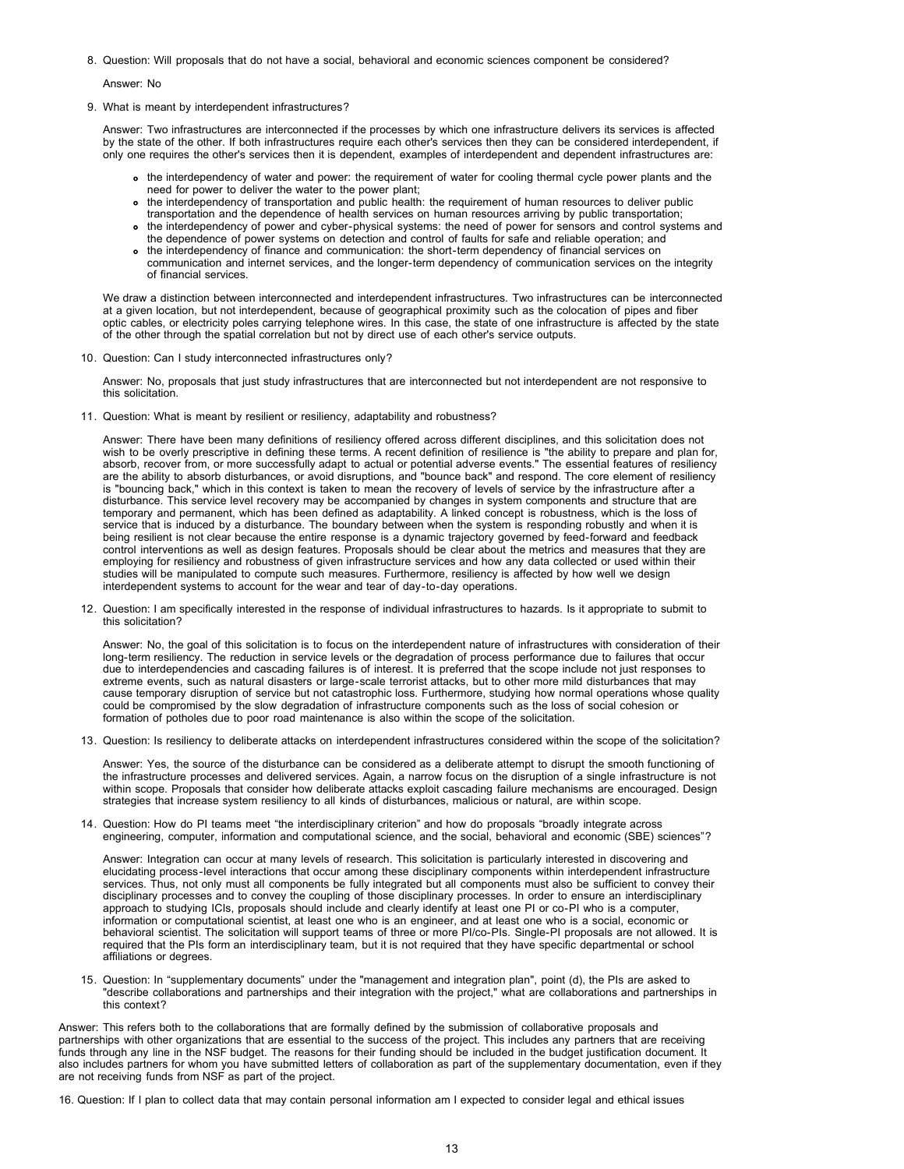8. Question: Will proposals that do not have a social, behavioral and economic sciences component be considered?

Answer: No

9. What is meant by interdependent infrastructures?

Answer: Two infrastructures are interconnected if the processes by which one infrastructure delivers its services is affected by the state of the other. If both infrastructures require each other's services then they can be considered interdependent, if only one requires the other's services then it is dependent, examples of interdependent and dependent infrastructures are:

- the interdependency of water and power: the requirement of water for cooling thermal cycle power plants and the need for power to deliver the water to the power plant;
- the interdependency of transportation and public health: the requirement of human resources to deliver public transportation and the dependence of health services on human resources arriving by public transportation;
- the interdependency of power and cyber-physical systems: the need of power for sensors and control systems and the dependence of power systems on detection and control of faults for safe and reliable operation; and
- the interdependency of finance and communication: the short-term dependency of financial services on communication and internet services, and the longer-term dependency of communication services on the integrity of financial services.

We draw a distinction between interconnected and interdependent infrastructures. Two infrastructures can be interconnected at a given location, but not interdependent, because of geographical proximity such as the colocation of pipes and fiber optic cables, or electricity poles carrying telephone wires. In this case, the state of one infrastructure is affected by the state of the other through the spatial correlation but not by direct use of each other's service outputs.

10. Question: Can I study interconnected infrastructures only?

Answer: No, proposals that just study infrastructures that are interconnected but not interdependent are not responsive to this solicitation.

11. Question: What is meant by resilient or resiliency, adaptability and robustness?

Answer: There have been many definitions of resiliency offered across different disciplines, and this solicitation does not wish to be overly prescriptive in defining these terms. A recent definition of resilience is "the ability to prepare and plan for, absorb, recover from, or more successfully adapt to actual or potential adverse events." The essential features of resiliency are the ability to absorb disturbances, or avoid disruptions, and "bounce back" and respond. The core element of resiliency is "bouncing back," which in this context is taken to mean the recovery of levels of service by the infrastructure after a disturbance. This service level recovery may be accompanied by changes in system components and structure that are temporary and permanent, which has been defined as adaptability. A linked concept is robustness, which is the loss of service that is induced by a disturbance. The boundary between when the system is responding robustly and when it is being resilient is not clear because the entire response is a dynamic trajectory governed by feed-forward and feedback control interventions as well as design features. Proposals should be clear about the metrics and measures that they are employing for resiliency and robustness of given infrastructure services and how any data collected or used within their studies will be manipulated to compute such measures. Furthermore, resiliency is affected by how well we design interdependent systems to account for the wear and tear of day-to-day operations.

12. Question: I am specifically interested in the response of individual infrastructures to hazards. Is it appropriate to submit to this solicitation?

Answer: No, the goal of this solicitation is to focus on the interdependent nature of infrastructures with consideration of their long-term resiliency. The reduction in service levels or the degradation of process performance due to failures that occur due to interdependencies and cascading failures is of interest. It is preferred that the scope include not just responses to extreme events, such as natural disasters or large-scale terrorist attacks, but to other more mild disturbances that may cause temporary disruption of service but not catastrophic loss. Furthermore, studying how normal operations whose quality could be compromised by the slow degradation of infrastructure components such as the loss of social cohesion or formation of potholes due to poor road maintenance is also within the scope of the solicitation.

13. Question: Is resiliency to deliberate attacks on interdependent infrastructures considered within the scope of the solicitation?

Answer: Yes, the source of the disturbance can be considered as a deliberate attempt to disrupt the smooth functioning of the infrastructure processes and delivered services. Again, a narrow focus on the disruption of a single infrastructure is not within scope. Proposals that consider how deliberate attacks exploit cascading failure mechanisms are encouraged. Design strategies that increase system resiliency to all kinds of disturbances, malicious or natural, are within scope.

14. Question: How do PI teams meet "the interdisciplinary criterion" and how do proposals "broadly integrate across engineering, computer, information and computational science, and the social, behavioral and economic (SBE) sciences"?

Answer: Integration can occur at many levels of research. This solicitation is particularly interested in discovering and elucidating process-level interactions that occur among these disciplinary components within interdependent infrastructure services. Thus, not only must all components be fully integrated but all components must also be sufficient to convey their disciplinary processes and to convey the coupling of those disciplinary processes. In order to ensure an interdisciplinary approach to studying ICIs, proposals should include and clearly identify at least one PI or co-PI who is a computer, information or computational scientist, at least one who is an engineer, and at least one who is a social, economic or behavioral scientist. The solicitation will support teams of three or more PI/co-PIs. Single-PI proposals are not allowed. It is required that the PIs form an interdisciplinary team, but it is not required that they have specific departmental or school affiliations or degrees.

15. Question: In "supplementary documents" under the "management and integration plan", point (d), the PIs are asked to "describe collaborations and partnerships and their integration with the project," what are collaborations and partnerships in this context?

Answer: This refers both to the collaborations that are formally defined by the submission of collaborative proposals and partnerships with other organizations that are essential to the success of the project. This includes any partners that are receiving funds through any line in the NSF budget. The reasons for their funding should be included in the budget justification document. It also includes partners for whom you have submitted letters of collaboration as part of the supplementary documentation, even if they are not receiving funds from NSF as part of the project.

16. Question: If I plan to collect data that may contain personal information am I expected to consider legal and ethical issues